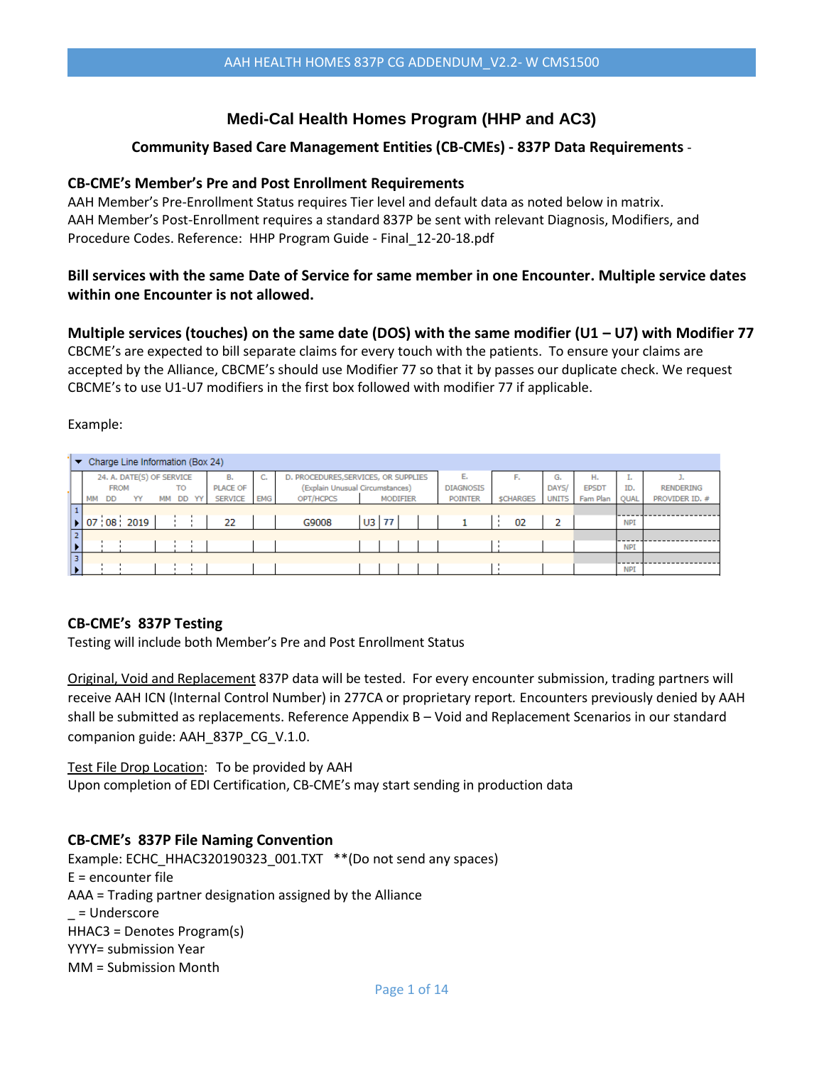## **Medi-Cal Health Homes Program (HHP and AC3)**

### **Community Based Care Management Entities (CB-CMEs) - 837P Data Requirements** -

#### **CB-CME's Member's Pre and Post Enrollment Requirements**

AAH Member's Pre-Enrollment Status requires Tier level and default data as noted below in matrix. AAH Member's Post-Enrollment requires a standard 837P be sent with relevant Diagnosis, Modifiers, and Procedure Codes. Reference: HHP Program Guide - Final\_12-20-18.pdf

## **Bill services with the same Date of Service for same member in one Encounter. Multiple service dates within one Encounter is not allowed.**

#### **Multiple services (touches) on the same date (DOS) with the same modifier (U1 – U7) with Modifier 77**

CBCME's are expected to bill separate claims for every touch with the patients. To ensure your claims are accepted by the Alliance, CBCME's should use Modifier 77 so that it by passes our duplicate check. We request CBCME's to use U1-U7 modifiers in the first box followed with modifier 77 if applicable.

Example:

|    | Charge Line Information (Box 24)<br>▼ |    |             |                             |    |           |    |                 |                  |                                      |         |                 |                  |                  |              |              |            |                  |
|----|---------------------------------------|----|-------------|-----------------------------|----|-----------|----|-----------------|------------------|--------------------------------------|---------|-----------------|------------------|------------------|--------------|--------------|------------|------------------|
|    |                                       |    |             | 24. A. DATE(S) OF SERVICE   |    |           |    | в.              | <b>COL</b><br>u. | D. PROCEDURES, SERVICES, OR SUPPLIES |         |                 | Е.               | Е.               | G.           | н.           | <b>Le</b>  |                  |
|    |                                       |    | <b>FROM</b> |                             |    | <b>TO</b> |    | <b>PLACE OF</b> |                  | (Explain Unusual Circumstances)      |         |                 | <b>DIAGNOSIS</b> |                  | DAYS/        | <b>EPSDT</b> | ID.        | <b>RENDERING</b> |
|    |                                       | MM | DD          | YY                          | MМ | <b>DD</b> | YY | <b>SERVICE</b>  | <b>EMG</b>       | OPT/HCPCS                            |         | <b>MODIFIER</b> | <b>POINTER</b>   | <b>\$CHARGES</b> | <b>UNITS</b> | Fam Plan     | QUAL       | PROVIDER ID. #   |
|    |                                       |    |             |                             |    |           |    |                 |                  |                                      |         |                 |                  |                  |              |              |            |                  |
|    |                                       |    |             | $\triangleright$ 07 08 2019 |    |           |    | 22              |                  | G9008                                | $U3$ 77 |                 |                  | 02               | 2            |              | <b>NPI</b> |                  |
|    |                                       |    |             |                             |    |           |    |                 |                  |                                      |         |                 |                  |                  |              |              |            |                  |
|    |                                       |    |             |                             |    |           |    |                 |                  |                                      |         |                 |                  |                  |              |              | <b>NPI</b> |                  |
| 31 |                                       |    |             |                             |    |           |    |                 |                  |                                      |         |                 |                  |                  |              |              |            |                  |
|    |                                       |    |             |                             |    |           |    |                 |                  |                                      |         |                 |                  |                  |              |              | <b>NPI</b> |                  |

#### **CB-CME's 837P Testing**

Testing will include both Member's Pre and Post Enrollment Status

Original, Void and Replacement 837P data will be tested. For every encounter submission, trading partners will receive AAH ICN (Internal Control Number) in 277CA or proprietary report*.* Encounters previously denied by AAH shall be submitted as replacements. Reference Appendix B - Void and Replacement Scenarios in our standard companion guide: AAH\_837P\_CG\_V.1.0.

Test File Drop Location:To be provided by AAH Upon completion of EDI Certification, CB-CME's may start sending in production data

#### **CB-CME's 837P File Naming Convention**

Example: ECHC\_HHAC320190323\_001.TXT\_ \*\*(Do not send any spaces) E = encounter file AAA = Trading partner designation assigned by the Alliance \_ = Underscore HHAC3 = Denotes Program(s) YYYY= submission Year MM = Submission Month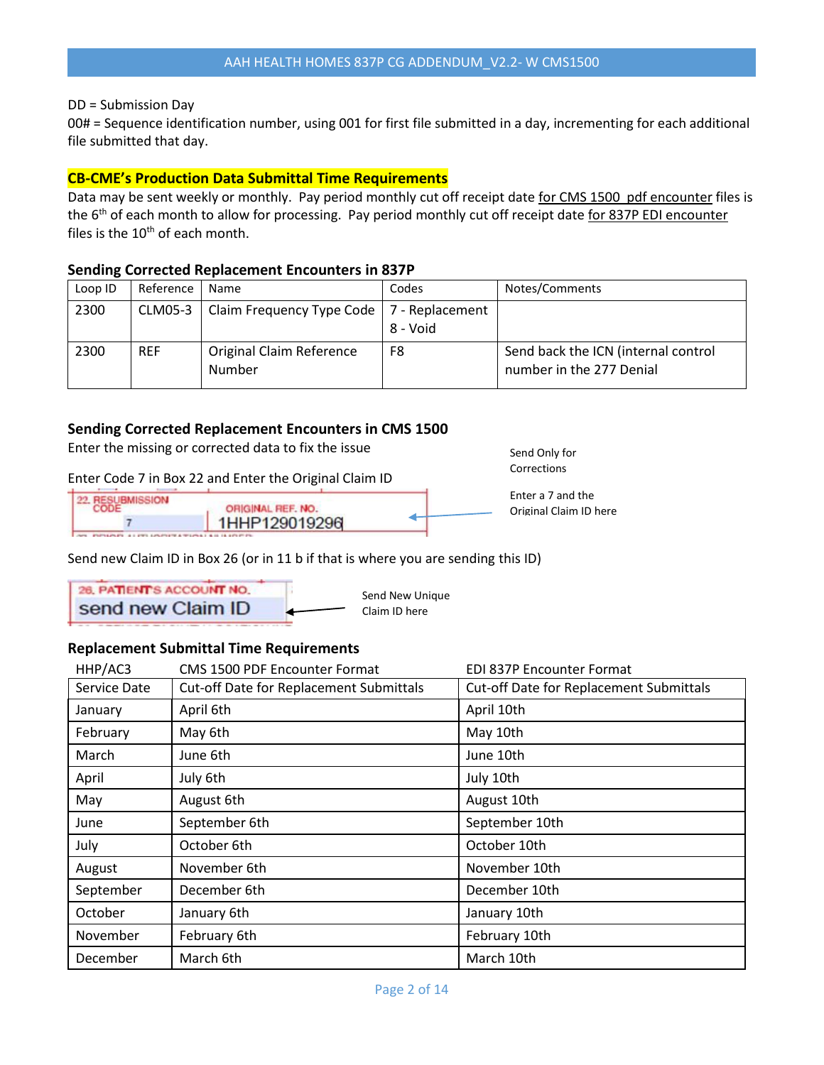#### DD = Submission Day

00# = Sequence identification number, using 001 for first file submitted in a day, incrementing for each additional file submitted that day.

#### **CB-CME's Production Data Submittal Time Requirements**

Data may be sent weekly or monthly. Pay period monthly cut off receipt date for CMS 1500 pdf encounter files is the 6<sup>th</sup> of each month to allow for processing. Pay period monthly cut off receipt date for 837P EDI encounter files is the  $10<sup>th</sup>$  of each month.

#### **Sending Corrected Replacement Encounters in 837P**

| Loop ID | Reference      | Name                                              | Codes    | Notes/Comments                                                  |
|---------|----------------|---------------------------------------------------|----------|-----------------------------------------------------------------|
| 2300    | <b>CLM05-3</b> | Claim Frequency Type Code $\vert$ 7 - Replacement | 8 - Void |                                                                 |
| 2300    | <b>REF</b>     | <b>Original Claim Reference</b><br>Number         | F8       | Send back the ICN (internal control<br>number in the 277 Denial |

#### **Sending Corrected Replacement Encounters in CMS 1500**

Enter the missing or corrected data to fix the issue

#### Enter Code 7 in Box 22 and Enter the Original Claim ID

| <b>IFSLIBMISSION</b> | ORIGINAL REF. NO. |  |
|----------------------|-------------------|--|
|                      | 1HHP129019296     |  |
|                      |                   |  |

Send new Claim ID in Box 26 (or in 11 b if that is where you are sending this ID)

26. PATIENT'S ACCOUNT NO. Send New Unique send new Claim ID Claim ID here

#### **Replacement Submittal Time Requirements**

| HHP/AC3      | <b>CMS 1500 PDF Encounter Format</b>           | EDI 837P Encounter Format                      |
|--------------|------------------------------------------------|------------------------------------------------|
| Service Date | <b>Cut-off Date for Replacement Submittals</b> | <b>Cut-off Date for Replacement Submittals</b> |
| January      | April 6th                                      | April 10th                                     |
| February     | May 6th                                        | May 10th                                       |
| March        | June 6th                                       | June 10th                                      |
| April        | July 6th                                       | July 10th                                      |
| May          | August 6th                                     | August 10th                                    |
| June         | September 6th                                  | September 10th                                 |
| July         | October 6th                                    | October 10th                                   |
| August       | November 6th                                   | November 10th                                  |
| September    | December 6th                                   | December 10th                                  |
| October      | January 6th                                    | January 10th                                   |
| November     | February 6th                                   | February 10th                                  |
| December     | March 6th                                      | March 10th                                     |

Send Only for Corrections

Enter a 7 and the Original Claim ID here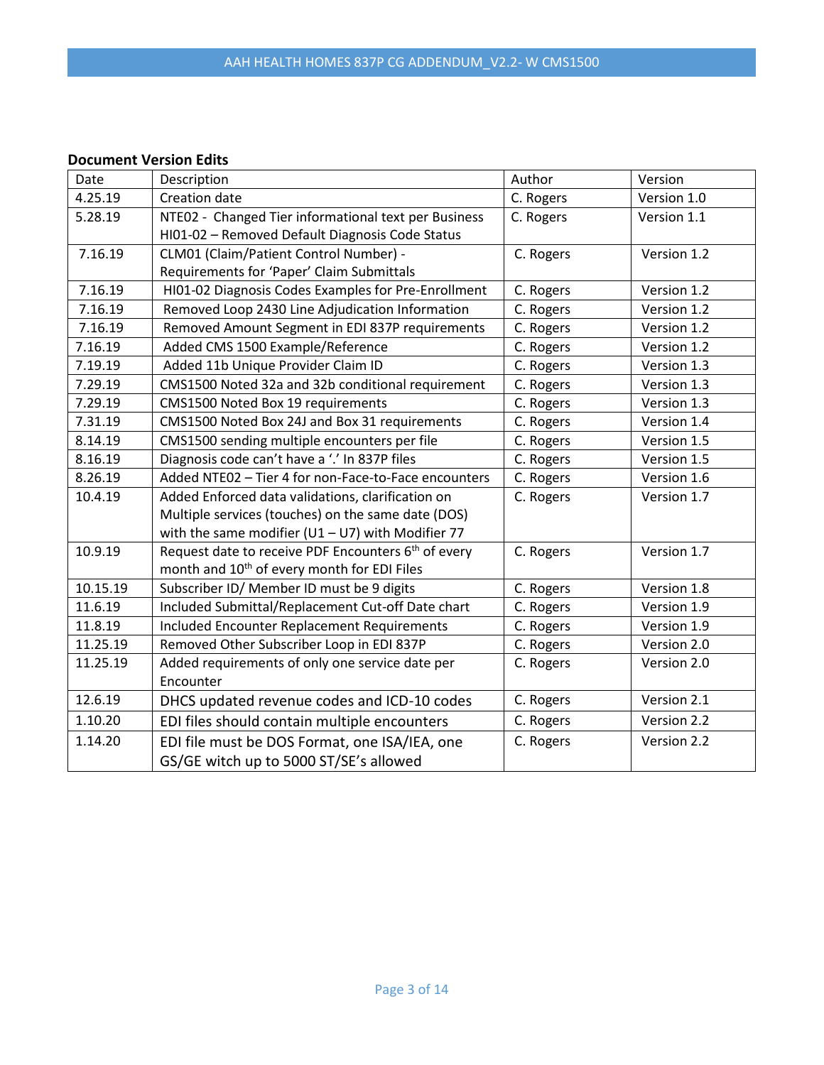#### **Document Version Edits**

| Date     | Description                                                     | Author    | Version     |
|----------|-----------------------------------------------------------------|-----------|-------------|
| 4.25.19  | <b>Creation date</b>                                            | C. Rogers | Version 1.0 |
| 5.28.19  | NTE02 - Changed Tier informational text per Business            | C. Rogers | Version 1.1 |
|          | HI01-02 - Removed Default Diagnosis Code Status                 |           |             |
| 7.16.19  | CLM01 (Claim/Patient Control Number) -                          | C. Rogers | Version 1.2 |
|          | Requirements for 'Paper' Claim Submittals                       |           |             |
| 7.16.19  | HI01-02 Diagnosis Codes Examples for Pre-Enrollment             | C. Rogers | Version 1.2 |
| 7.16.19  | Removed Loop 2430 Line Adjudication Information                 | C. Rogers | Version 1.2 |
| 7.16.19  | Removed Amount Segment in EDI 837P requirements                 | C. Rogers | Version 1.2 |
| 7.16.19  | Added CMS 1500 Example/Reference                                | C. Rogers | Version 1.2 |
| 7.19.19  | Added 11b Unique Provider Claim ID                              | C. Rogers | Version 1.3 |
| 7.29.19  | CMS1500 Noted 32a and 32b conditional requirement               | C. Rogers | Version 1.3 |
| 7.29.19  | CMS1500 Noted Box 19 requirements                               | C. Rogers | Version 1.3 |
| 7.31.19  | CMS1500 Noted Box 24J and Box 31 requirements                   | C. Rogers | Version 1.4 |
| 8.14.19  | CMS1500 sending multiple encounters per file                    | C. Rogers | Version 1.5 |
| 8.16.19  | Diagnosis code can't have a '.' In 837P files                   | C. Rogers | Version 1.5 |
| 8.26.19  | Added NTE02 - Tier 4 for non-Face-to-Face encounters            | C. Rogers | Version 1.6 |
| 10.4.19  | Added Enforced data validations, clarification on               | C. Rogers | Version 1.7 |
|          | Multiple services (touches) on the same date (DOS)              |           |             |
|          | with the same modifier ( $U1 - U7$ ) with Modifier 77           |           |             |
| 10.9.19  | Request date to receive PDF Encounters 6 <sup>th</sup> of every | C. Rogers | Version 1.7 |
|          | month and 10 <sup>th</sup> of every month for EDI Files         |           |             |
| 10.15.19 | Subscriber ID/ Member ID must be 9 digits                       | C. Rogers | Version 1.8 |
| 11.6.19  | Included Submittal/Replacement Cut-off Date chart               | C. Rogers | Version 1.9 |
| 11.8.19  | <b>Included Encounter Replacement Requirements</b>              | C. Rogers | Version 1.9 |
| 11.25.19 | Removed Other Subscriber Loop in EDI 837P                       | C. Rogers | Version 2.0 |
| 11.25.19 | Added requirements of only one service date per                 | C. Rogers | Version 2.0 |
|          | Encounter                                                       |           |             |
| 12.6.19  | DHCS updated revenue codes and ICD-10 codes                     | C. Rogers | Version 2.1 |
| 1.10.20  | EDI files should contain multiple encounters                    | C. Rogers | Version 2.2 |
| 1.14.20  | EDI file must be DOS Format, one ISA/IEA, one                   | C. Rogers | Version 2.2 |
|          | GS/GE witch up to 5000 ST/SE's allowed                          |           |             |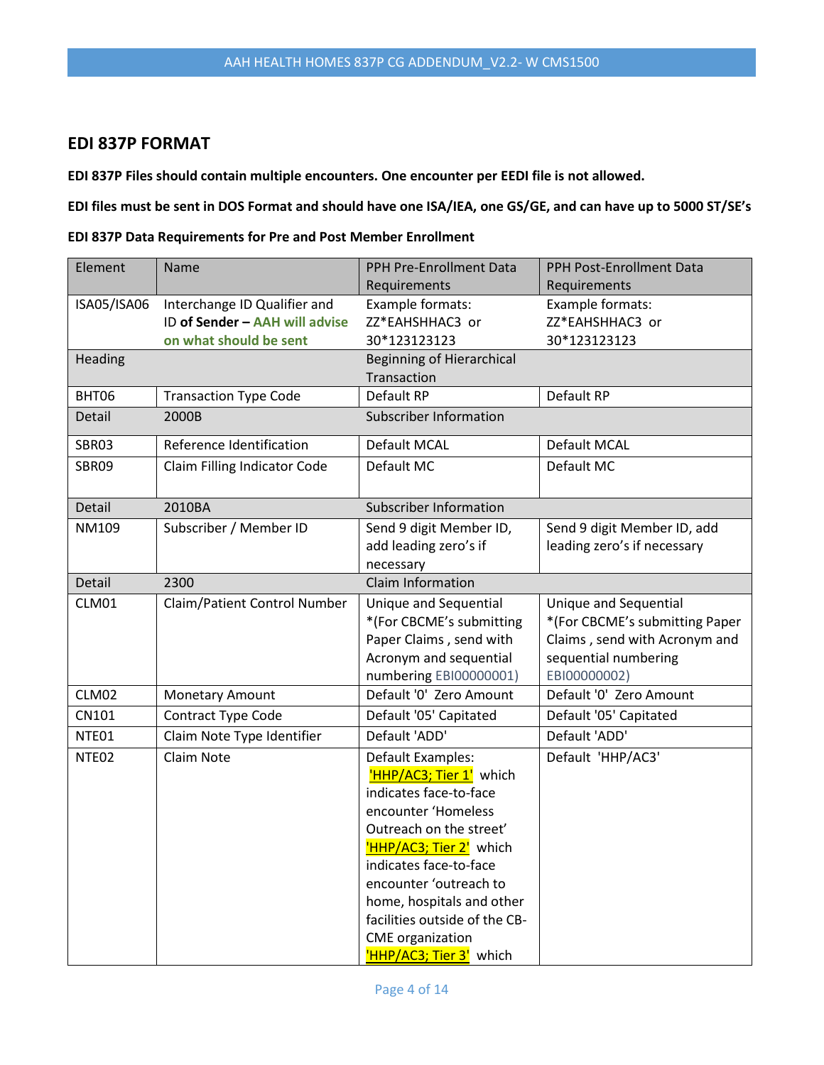## **EDI 837P FORMAT**

**EDI 837P Files should contain multiple encounters. One encounter per EEDI file is not allowed.**

**EDI files must be sent in DOS Format and should have one ISA/IEA, one GS/GE, and can have up to 5000 ST/SE's**

**EDI 837P Data Requirements for Pre and Post Member Enrollment**

| Element           | Name                           | PPH Pre-Enrollment Data          | PPH Post-Enrollment Data       |
|-------------------|--------------------------------|----------------------------------|--------------------------------|
|                   |                                | Requirements                     | Requirements                   |
| ISA05/ISA06       | Interchange ID Qualifier and   | Example formats:                 | Example formats:               |
|                   | ID of Sender - AAH will advise | ZZ*EAHSHHAC3 or                  | ZZ*EAHSHHAC3 or                |
|                   | on what should be sent         | 30*123123123                     | 30*123123123                   |
| Heading           |                                | <b>Beginning of Hierarchical</b> |                                |
|                   |                                | Transaction                      |                                |
| BHT06             | <b>Transaction Type Code</b>   | Default RP                       | Default RP                     |
| Detail            | 2000B                          | <b>Subscriber Information</b>    |                                |
| SBR03             | Reference Identification       | Default MCAL                     | Default MCAL                   |
| SBR09             | Claim Filling Indicator Code   | Default MC                       | Default MC                     |
| Detail            | 2010BA                         | <b>Subscriber Information</b>    |                                |
| NM109             | Subscriber / Member ID         | Send 9 digit Member ID,          | Send 9 digit Member ID, add    |
|                   |                                | add leading zero's if            | leading zero's if necessary    |
|                   |                                | necessary                        |                                |
| Detail            | 2300                           | Claim Information                |                                |
| CLM01             | Claim/Patient Control Number   | Unique and Sequential            | Unique and Sequential          |
|                   |                                | *(For CBCME's submitting         | *(For CBCME's submitting Paper |
|                   |                                | Paper Claims, send with          | Claims, send with Acronym and  |
|                   |                                | Acronym and sequential           | sequential numbering           |
|                   |                                | numbering EBI00000001)           | EBI00000002)                   |
| CLM02             | <b>Monetary Amount</b>         | Default '0' Zero Amount          | Default '0' Zero Amount        |
| CN101             | Contract Type Code             | Default '05' Capitated           | Default '05' Capitated         |
| NTE01             | Claim Note Type Identifier     | Default 'ADD'                    | Default 'ADD'                  |
| NTE <sub>02</sub> | Claim Note                     | Default Examples:                | Default 'HHP/AC3'              |
|                   |                                | HHP/AC3; Tier 1' which           |                                |
|                   |                                | indicates face-to-face           |                                |
|                   |                                | encounter 'Homeless              |                                |
|                   |                                | Outreach on the street'          |                                |
|                   |                                | HHP/AC3; Tier 2' which           |                                |
|                   |                                | indicates face-to-face           |                                |
|                   |                                | encounter 'outreach to           |                                |
|                   |                                | home, hospitals and other        |                                |
|                   |                                | facilities outside of the CB-    |                                |
|                   |                                | <b>CME</b> organization          |                                |
|                   |                                | 'HHP/AC3; Tier 3' which          |                                |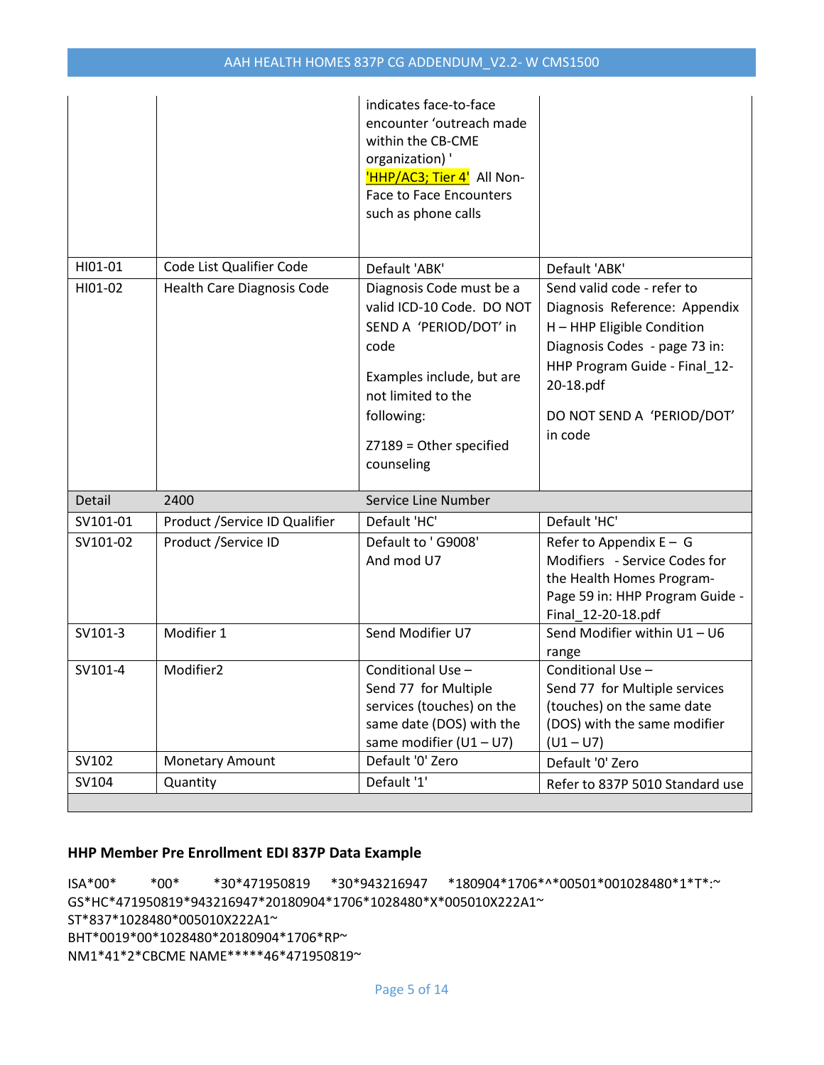|          |                               | indicates face-to-face<br>encounter 'outreach made<br>within the CB-CME<br>organization)'<br>'HHP/AC3; Tier 4' All Non-<br><b>Face to Face Encounters</b><br>such as phone calls                  |                                                                                                                                                                                                                   |
|----------|-------------------------------|---------------------------------------------------------------------------------------------------------------------------------------------------------------------------------------------------|-------------------------------------------------------------------------------------------------------------------------------------------------------------------------------------------------------------------|
| HI01-01  | Code List Qualifier Code      | Default 'ABK'                                                                                                                                                                                     | Default 'ABK'                                                                                                                                                                                                     |
| HI01-02  | Health Care Diagnosis Code    | Diagnosis Code must be a<br>valid ICD-10 Code. DO NOT<br>SEND A 'PERIOD/DOT' in<br>code<br>Examples include, but are<br>not limited to the<br>following:<br>Z7189 = Other specified<br>counseling | Send valid code - refer to<br>Diagnosis Reference: Appendix<br>H - HHP Eligible Condition<br>Diagnosis Codes - page 73 in:<br>HHP Program Guide - Final_12-<br>20-18.pdf<br>DO NOT SEND A 'PERIOD/DOT'<br>in code |
| Detail   | 2400                          | Service Line Number                                                                                                                                                                               |                                                                                                                                                                                                                   |
| SV101-01 | Product /Service ID Qualifier | Default 'HC'                                                                                                                                                                                      | Default 'HC'                                                                                                                                                                                                      |
| SV101-02 | Product /Service ID           | Default to ' G9008'<br>And mod U7                                                                                                                                                                 | Refer to Appendix $E - G$<br>Modifiers - Service Codes for<br>the Health Homes Program-<br>Page 59 in: HHP Program Guide -<br>Final_12-20-18.pdf                                                                  |
| SV101-3  | Modifier 1                    | Send Modifier U7                                                                                                                                                                                  | Send Modifier within U1 - U6<br>range                                                                                                                                                                             |
| SV101-4  | Modifier2                     | Conditional Use -<br>Send 77 for Multiple<br>services (touches) on the<br>same date (DOS) with the<br>same modifier $(U1 - U7)$                                                                   | Conditional Use -<br>Send 77 for Multiple services<br>(touches) on the same date<br>(DOS) with the same modifier<br>$(U1 - U7)$                                                                                   |
| SV102    | Monetary Amount               | Default '0' Zero                                                                                                                                                                                  | Default '0' Zero                                                                                                                                                                                                  |
| SV104    | Quantity                      | Default '1'                                                                                                                                                                                       | Refer to 837P 5010 Standard use                                                                                                                                                                                   |

#### **HHP Member Pre Enrollment EDI 837P Data Example**

ISA\*00\* \*00\* \*30\*471950819 \*30\*943216947 \*180904\*1706\*^\*00501\*001028480\*1\*T\*:~ GS\*HC\*471950819\*943216947\*20180904\*1706\*1028480\*X\*005010X222A1~ ST\*837\*1028480\*005010X222A1~ BHT\*0019\*00\*1028480\*20180904\*1706\*RP~ NM1\*41\*2\*CBCME NAME\*\*\*\*\*46\*471950819~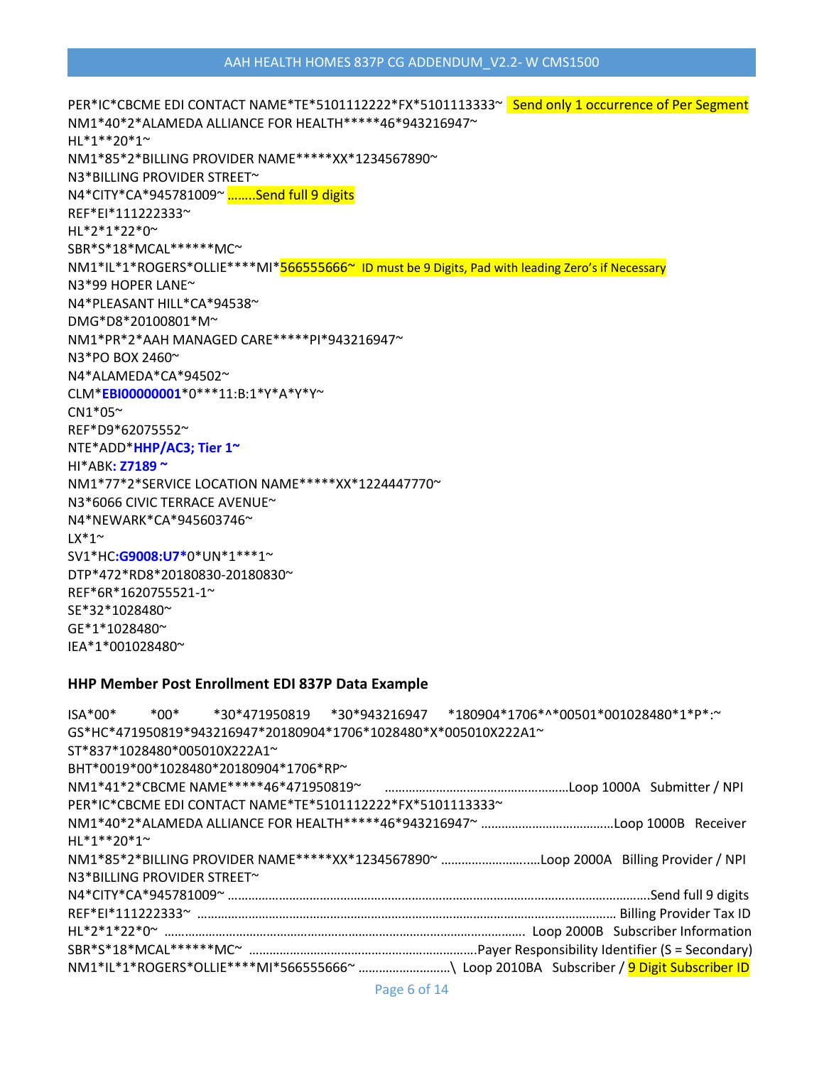|                              | GS*HC*471950819*943216947*20180904*1706*1028480*X*005010X222A1~                         |  |  |  |
|------------------------------|-----------------------------------------------------------------------------------------|--|--|--|
| ST*837*1028480*005010X222A1~ |                                                                                         |  |  |  |
|                              | BHT*0019*00*1028480*20180904*1706*RP~                                                   |  |  |  |
|                              |                                                                                         |  |  |  |
|                              | PER*IC*CBCME EDI CONTACT NAME*TE*5101112222*FX*5101113333~                              |  |  |  |
|                              |                                                                                         |  |  |  |
| $HI*1**20*1*$                |                                                                                         |  |  |  |
|                              | NM1*85*2*BILLING PROVIDER NAME*****XX*1234567890~ Loop 2000A Billing Provider / NPI     |  |  |  |
| N3*BILLING PROVIDER STREET~  |                                                                                         |  |  |  |
|                              |                                                                                         |  |  |  |
|                              |                                                                                         |  |  |  |
|                              |                                                                                         |  |  |  |
|                              |                                                                                         |  |  |  |
|                              | NM1*IL*1*ROGERS*OLLIE****MI*566555666~ \ Loop 2010BA Subscriber / 9 Digit Subscriber ID |  |  |  |

#### **HHP Member Post Enrollment EDI 837P Data Example**

PER\*IC\*CBCME EDI CONTACT NAME\*TE\*5101112222\*FX\*5101113333~ Send only 1 occurrence of Per Segment NM1\*40\*2\*ALAMEDA ALLIANCE FOR HEALTH\*\*\*\*\*46\*943216947~ HL\*1\*\*20\*1~ NM1\*85\*2\*BILLING PROVIDER NAME\*\*\*\*\*XX\*1234567890~ N3\*BILLING PROVIDER STREET~ N4\*CITY\*CA\*945781009~ ……..Send full 9 digits REF\*EI\*111222333~ HL\*2\*1\*22\*0~ SBR\*S\*18\*MCAL\*\*\*\*\*\*MC~ NM1\*IL\*1\*ROGERS\*OLLIE\*\*\*\*MI\*566555666~ ID must be 9 Digits, Pad with leading Zero's if Necessary N3\*99 HOPER LANE~ N4\*PLEASANT HILL\*CA\*94538~ DMG\*D8\*20100801\*M~ NM1\*PR\*2\*AAH MANAGED CARE\*\*\*\*\*PI\*943216947~ N3\*PO BOX 2460~ N4\*ALAMEDA\*CA\*94502~ CLM\***EBI00000001**\*0\*\*\*11:B:1\*Y\*A\*Y\*Y~  $CN1*05$ ~ REF\*D9\*62075552~ NTE\*ADD\***HHP/AC3; Tier 1~** HI\*ABK**: Z7189 ~** NM1\*77\*2\*SERVICE LOCATION NAME\*\*\*\*\*XX\*1224447770~ N3\*6066 CIVIC TERRACE AVENUE~ N4\*NEWARK\*CA\*945603746~  $LX^*1$ ~ SV1\*HC**:G9008:U7\***0\*UN\*1\*\*\*1~ DTP\*472\*RD8\*20180830-20180830~ REF\*6R\*1620755521-1~ SE\*32\*1028480~ GE\*1\*1028480~ IEA\*1\*001028480~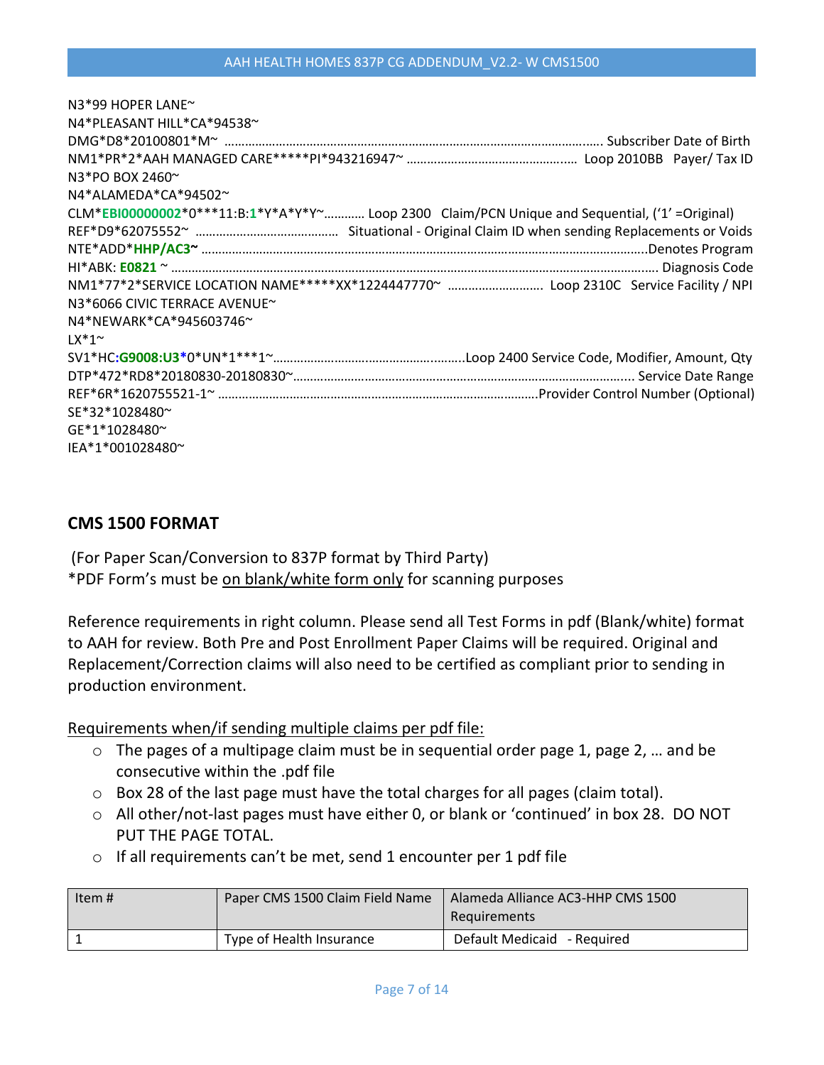| N3*99 HOPER LANE~                                                                                 |
|---------------------------------------------------------------------------------------------------|
| N4*PLEASANT HILL*CA*94538~                                                                        |
|                                                                                                   |
|                                                                                                   |
| N3*PO BOX 2460~                                                                                   |
| $N4*ALAMEDA*CA*94502^{\sim}$                                                                      |
| $CLM*EBI00000002*0***11:B:1*Y*A*Y*Y"$ Loop 2300 Claim/PCN Unique and Sequential, ('1' = Original) |
|                                                                                                   |
|                                                                                                   |
|                                                                                                   |
| NM1*77*2*SERVICE LOCATION NAME*****XX*1224447770~  Loop 2310C Service Facility / NPI              |
| N3*6066 CIVIC TERRACE AVENUE~                                                                     |
| N4*NEWARK*CA*945603746~                                                                           |
| $1X*1^{\sim}$                                                                                     |
|                                                                                                   |
|                                                                                                   |
|                                                                                                   |
| SE*32*1028480~                                                                                    |
| GE*1*1028480~                                                                                     |
| IEA*1*001028480~                                                                                  |

## **CMS 1500 FORMAT**

(For Paper Scan/Conversion to 837P format by Third Party) \*PDF Form's must be on blank/white form only for scanning purposes

Reference requirements in right column. Please send all Test Forms in pdf (Blank/white) format to AAH for review. Both Pre and Post Enrollment Paper Claims will be required. Original and Replacement/Correction claims will also need to be certified as compliant prior to sending in production environment.

Requirements when/if sending multiple claims per pdf file:

- $\circ$  The pages of a multipage claim must be in sequential order page 1, page 2, ... and be consecutive within the .pdf file
- o Box 28 of the last page must have the total charges for all pages (claim total).
- o All other/not-last pages must have either 0, or blank or 'continued' in box 28. DO NOT PUT THE PAGE TOTAL.
- o If all requirements can't be met, send 1 encounter per 1 pdf file

| l Item # | Paper CMS 1500 Claim Field Name | Alameda Alliance AC3-HHP CMS 1500<br>Requirements |
|----------|---------------------------------|---------------------------------------------------|
|          | Type of Health Insurance        | Default Medicaid - Required                       |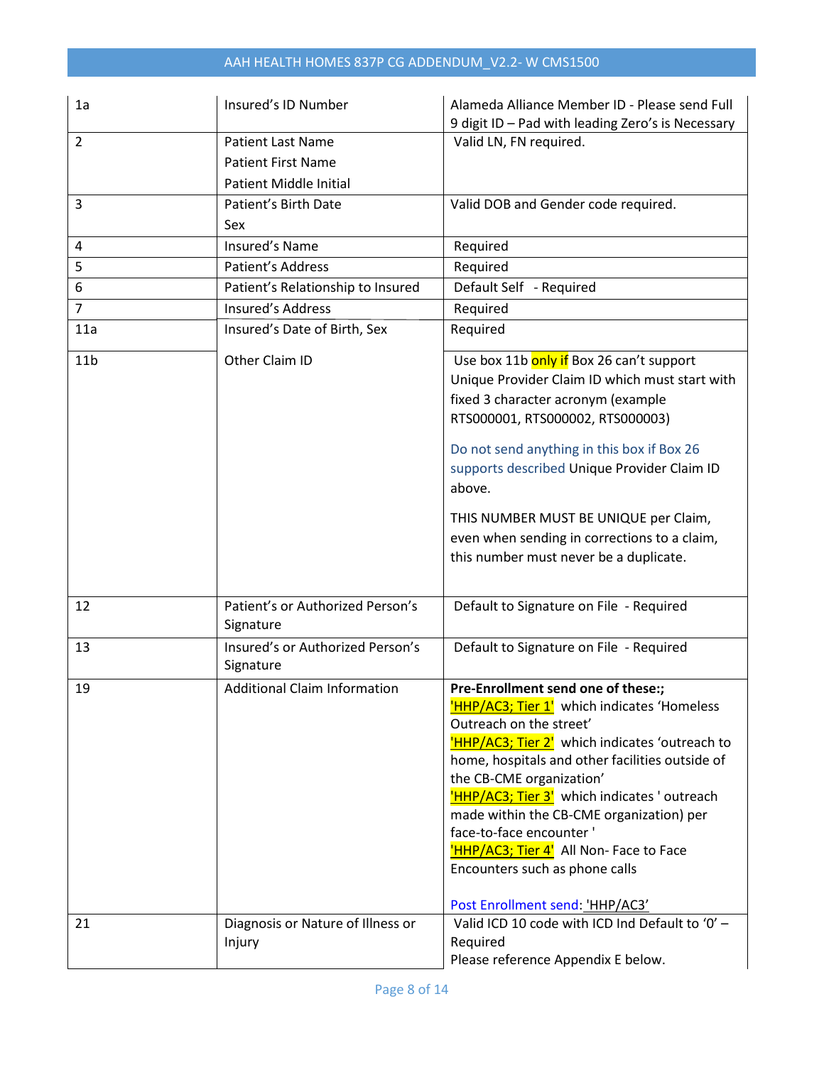# AAH HEALTH HOMES 837P CG ADDENDUM\_V2.2- W CMS1500

| 1a              | Insured's ID Number                           | Alameda Alliance Member ID - Please send Full                                                                                                                                                                                                                                                                                                                                                                                                                                        |
|-----------------|-----------------------------------------------|--------------------------------------------------------------------------------------------------------------------------------------------------------------------------------------------------------------------------------------------------------------------------------------------------------------------------------------------------------------------------------------------------------------------------------------------------------------------------------------|
| $\overline{2}$  | <b>Patient Last Name</b>                      | 9 digit ID - Pad with leading Zero's is Necessary<br>Valid LN, FN required.                                                                                                                                                                                                                                                                                                                                                                                                          |
|                 | <b>Patient First Name</b>                     |                                                                                                                                                                                                                                                                                                                                                                                                                                                                                      |
|                 |                                               |                                                                                                                                                                                                                                                                                                                                                                                                                                                                                      |
|                 | <b>Patient Middle Initial</b>                 |                                                                                                                                                                                                                                                                                                                                                                                                                                                                                      |
| 3               | Patient's Birth Date                          | Valid DOB and Gender code required.                                                                                                                                                                                                                                                                                                                                                                                                                                                  |
|                 | Sex                                           |                                                                                                                                                                                                                                                                                                                                                                                                                                                                                      |
| 4               | <b>Insured's Name</b>                         | Required                                                                                                                                                                                                                                                                                                                                                                                                                                                                             |
| 5               | Patient's Address                             | Required                                                                                                                                                                                                                                                                                                                                                                                                                                                                             |
| 6               | Patient's Relationship to Insured             | Default Self - Required                                                                                                                                                                                                                                                                                                                                                                                                                                                              |
| $\overline{7}$  | <b>Insured's Address</b>                      | Required                                                                                                                                                                                                                                                                                                                                                                                                                                                                             |
| 11a             | Insured's Date of Birth, Sex                  | Required                                                                                                                                                                                                                                                                                                                                                                                                                                                                             |
| 11 <sub>b</sub> | Other Claim ID                                | Use box 11b only if Box 26 can't support<br>Unique Provider Claim ID which must start with<br>fixed 3 character acronym (example<br>RTS000001, RTS000002, RTS000003)<br>Do not send anything in this box if Box 26<br>supports described Unique Provider Claim ID<br>above.<br>THIS NUMBER MUST BE UNIQUE per Claim,<br>even when sending in corrections to a claim,<br>this number must never be a duplicate.                                                                       |
| 12              | Patient's or Authorized Person's<br>Signature | Default to Signature on File - Required                                                                                                                                                                                                                                                                                                                                                                                                                                              |
| 13              | Insured's or Authorized Person's<br>Signature | Default to Signature on File - Required                                                                                                                                                                                                                                                                                                                                                                                                                                              |
| 19              | <b>Additional Claim Information</b>           | Pre-Enrollment send one of these:;<br>'HHP/AC3; Tier 1' which indicates 'Homeless<br>Outreach on the street'<br>HHP/AC3; Tier 2' which indicates 'outreach to<br>home, hospitals and other facilities outside of<br>the CB-CME organization'<br>'HHP/AC3; Tier 3' which indicates ' outreach<br>made within the CB-CME organization) per<br>face-to-face encounter '<br>'HHP/AC3; Tier 4' All Non- Face to Face<br>Encounters such as phone calls<br>Post Enrollment send: 'HHP/AC3' |
| 21              | Diagnosis or Nature of Illness or<br>Injury   | Valid ICD 10 code with ICD Ind Default to '0' -<br>Required<br>Please reference Appendix E below.                                                                                                                                                                                                                                                                                                                                                                                    |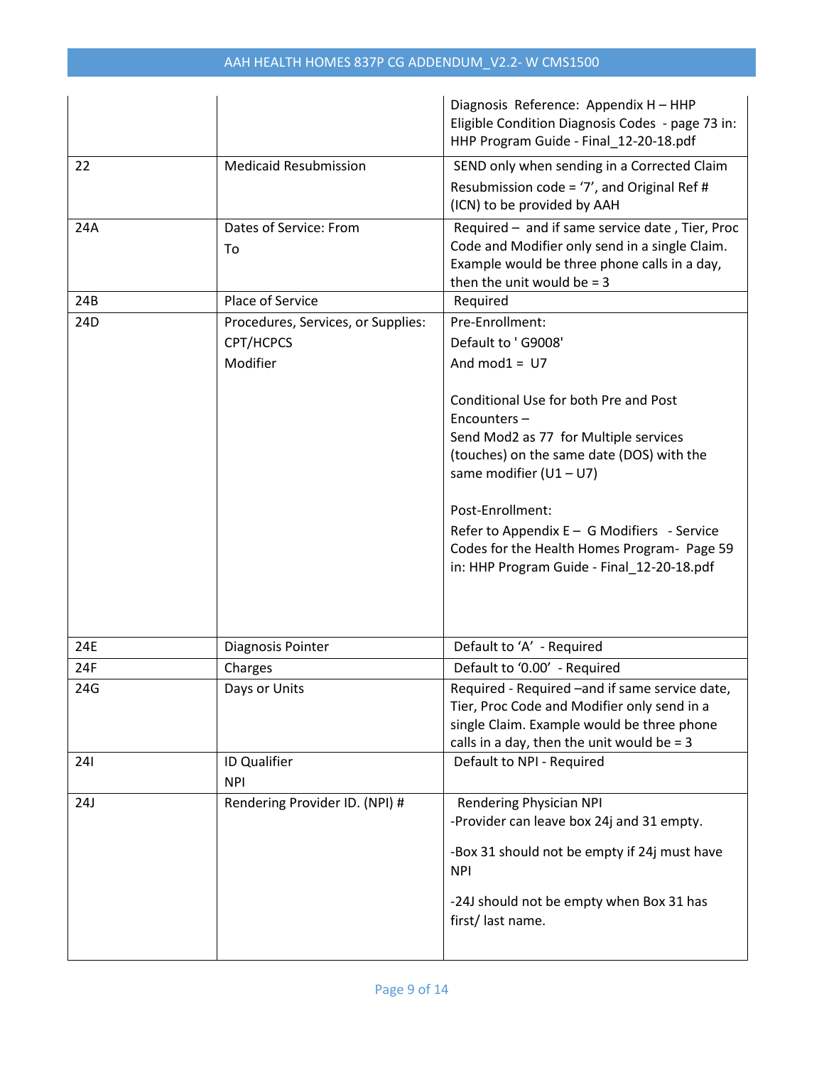|     |                                                 | Diagnosis Reference: Appendix H - HHP<br>Eligible Condition Diagnosis Codes - page 73 in:<br>HHP Program Guide - Final_12-20-18.pdf                                                                                                                                                                                                                      |
|-----|-------------------------------------------------|----------------------------------------------------------------------------------------------------------------------------------------------------------------------------------------------------------------------------------------------------------------------------------------------------------------------------------------------------------|
| 22  | <b>Medicaid Resubmission</b>                    | SEND only when sending in a Corrected Claim                                                                                                                                                                                                                                                                                                              |
|     |                                                 | Resubmission code = $'7'$ , and Original Ref #<br>(ICN) to be provided by AAH                                                                                                                                                                                                                                                                            |
| 24A | Dates of Service: From<br>To                    | Required - and if same service date, Tier, Proc<br>Code and Modifier only send in a single Claim.<br>Example would be three phone calls in a day,<br>then the unit would be $=$ 3                                                                                                                                                                        |
| 24B | Place of Service                                | Required                                                                                                                                                                                                                                                                                                                                                 |
| 24D | Procedures, Services, or Supplies:<br>CPT/HCPCS | Pre-Enrollment:<br>Default to 'G9008'                                                                                                                                                                                                                                                                                                                    |
|     | Modifier                                        | And $mod1 = U7$<br>Conditional Use for both Pre and Post<br>Encounters-<br>Send Mod2 as 77 for Multiple services<br>(touches) on the same date (DOS) with the<br>same modifier $(U1-U7)$<br>Post-Enrollment:<br>Refer to Appendix E - G Modifiers - Service<br>Codes for the Health Homes Program- Page 59<br>in: HHP Program Guide - Final_12-20-18.pdf |
| 24E | Diagnosis Pointer                               | Default to 'A' - Required                                                                                                                                                                                                                                                                                                                                |
| 24F | Charges                                         | Default to '0.00' - Required                                                                                                                                                                                                                                                                                                                             |
| 24G | Days or Units                                   | Required - Required - and if same service date,<br>Tier, Proc Code and Modifier only send in a<br>single Claim. Example would be three phone<br>calls in a day, then the unit would be $=$ 3                                                                                                                                                             |
| 241 | ID Qualifier<br><b>NPI</b>                      | Default to NPI - Required                                                                                                                                                                                                                                                                                                                                |
| 24J | Rendering Provider ID. (NPI) #                  | Rendering Physician NPI<br>-Provider can leave box 24j and 31 empty.<br>-Box 31 should not be empty if 24j must have<br><b>NPI</b><br>-24J should not be empty when Box 31 has<br>first/last name.                                                                                                                                                       |
|     |                                                 |                                                                                                                                                                                                                                                                                                                                                          |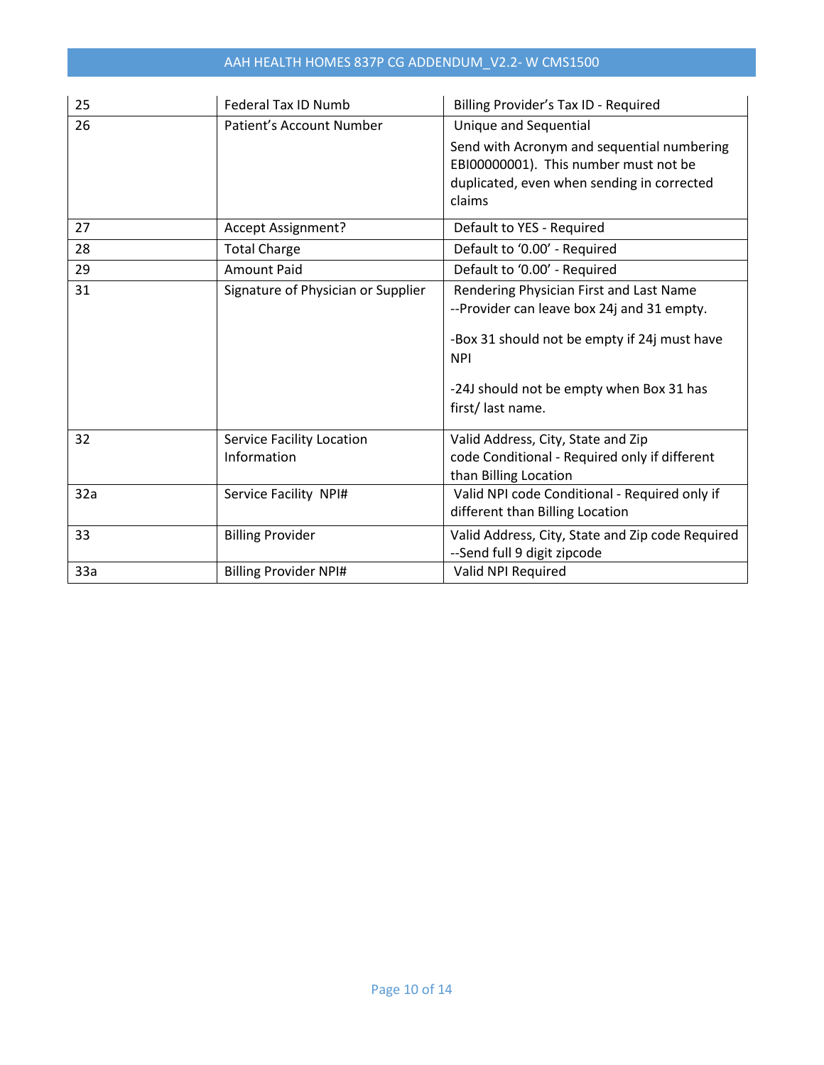# AAH HEALTH HOMES 837P CG ADDENDUM\_V2.2- W CMS1500

| 25  | <b>Federal Tax ID Numb</b>                      | Billing Provider's Tax ID - Required                                                                                                                                                                                |
|-----|-------------------------------------------------|---------------------------------------------------------------------------------------------------------------------------------------------------------------------------------------------------------------------|
| 26  | Patient's Account Number                        | <b>Unique and Sequential</b>                                                                                                                                                                                        |
|     |                                                 | Send with Acronym and sequential numbering<br>EBI00000001). This number must not be<br>duplicated, even when sending in corrected<br>claims                                                                         |
| 27  | Accept Assignment?                              | Default to YES - Required                                                                                                                                                                                           |
| 28  | <b>Total Charge</b>                             | Default to '0.00' - Required                                                                                                                                                                                        |
| 29  | <b>Amount Paid</b>                              | Default to '0.00' - Required                                                                                                                                                                                        |
| 31  | Signature of Physician or Supplier              | Rendering Physician First and Last Name<br>--Provider can leave box 24j and 31 empty.<br>-Box 31 should not be empty if 24j must have<br><b>NPI</b><br>-24J should not be empty when Box 31 has<br>first/last name. |
| 32  | <b>Service Facility Location</b><br>Information | Valid Address, City, State and Zip<br>code Conditional - Required only if different<br>than Billing Location                                                                                                        |
| 32a | Service Facility NPI#                           | Valid NPI code Conditional - Required only if<br>different than Billing Location                                                                                                                                    |
| 33  | <b>Billing Provider</b>                         | Valid Address, City, State and Zip code Required<br>--Send full 9 digit zipcode                                                                                                                                     |
| 33a | <b>Billing Provider NPI#</b>                    | Valid NPI Required                                                                                                                                                                                                  |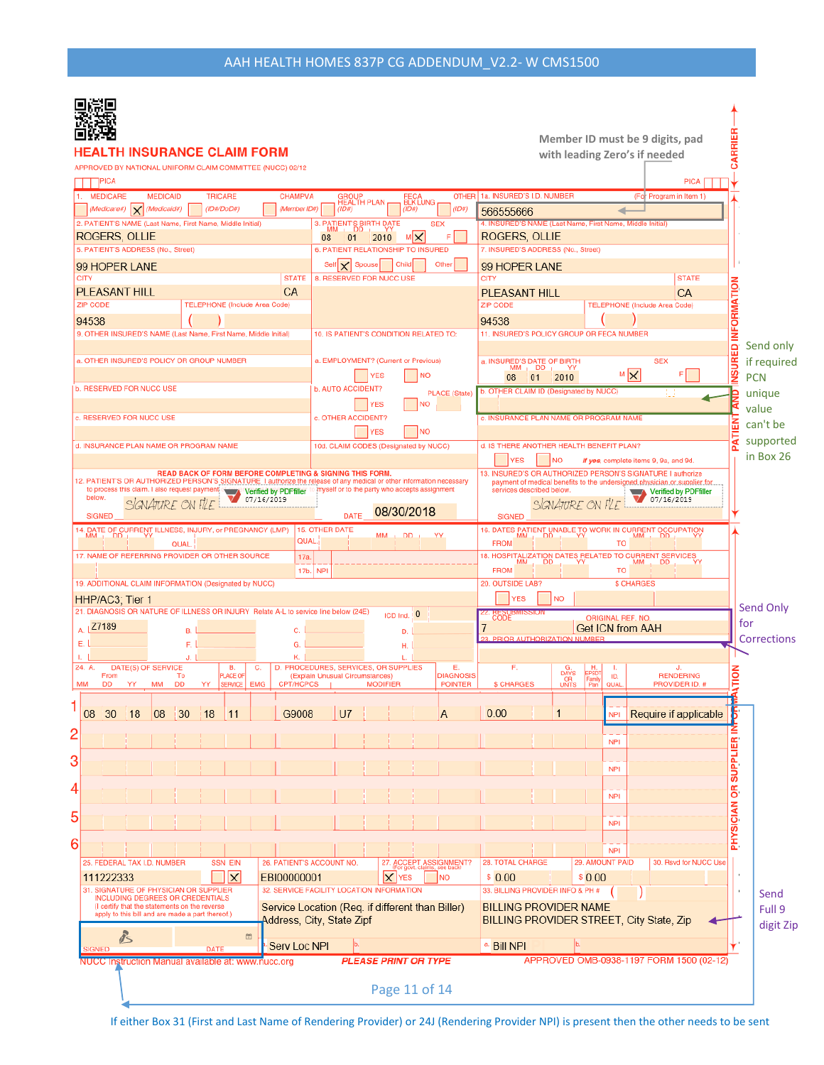| <b>LTH INSURANCE CLAIM FORM</b><br>APPROVED BY NATIONAL UNIFORM CLAIM COMMITTEE (NUCC) 02/12<br>]PICA                                                                             |                                                                                                   | Member ID must be 9 digits, pad<br>with leading Zero's if needed<br><b>PICA</b>                                                         | RRIER                                                              |
|-----------------------------------------------------------------------------------------------------------------------------------------------------------------------------------|---------------------------------------------------------------------------------------------------|-----------------------------------------------------------------------------------------------------------------------------------------|--------------------------------------------------------------------|
| 1. MEDICARE<br><b>CHAMPVA</b><br><b>MEDICAID</b><br><b>TRICARE</b>                                                                                                                | <b>GROUP</b><br>HEALTH PLAN<br>FECA<br>BLK LUNG                                                   | OTHER 1a. INSURED'S I.D. NUMBER<br>(For Program in Item 1)                                                                              |                                                                    |
| $(Medicare#)$ $\times$<br>(Medicaid#)<br>(1D# / DoD#)<br>(Member ID#)<br>2. PATIENT'S NAME (Last Name, First Name, Middle Initial)                                                | (1D#)<br>(1D#)<br>(ID#)<br><b>SEX</b>                                                             | 566555666<br>◢<br>4. INSURED'S NAME (Last Name, First Name, Middle Initial)                                                             |                                                                    |
| ROGERS, OLLIE                                                                                                                                                                     | 3. PATIENT'S BIRTH DATE<br>м∣×<br>2010<br>08<br>01                                                | ROGERS, OLLIE                                                                                                                           |                                                                    |
| 5. PATIENT'S ADDRESS (No., Street)                                                                                                                                                | 6. PATIENT RELATIONSHIP TO INSURED                                                                | 7. INSURED'S ADDRESS (No., Street)                                                                                                      |                                                                    |
| 99 HOPER LANE                                                                                                                                                                     | Self X<br>Other<br>Spouse<br>Child                                                                | 99 HOPER LANE                                                                                                                           |                                                                    |
| <b>CITY</b><br><b>STATE</b>                                                                                                                                                       | 8. RESERVED FOR NUCC USE                                                                          | <b>CITY</b><br><b>STATE</b>                                                                                                             |                                                                    |
| <b>PLEASANT HILL</b><br>CA<br><b>ZIP CODE</b>                                                                                                                                     |                                                                                                   | <b>PLEASANT HILL</b><br>CA<br><b>ZIP CODE</b>                                                                                           |                                                                    |
| TELEPHONE (Include Area Code)                                                                                                                                                     |                                                                                                   | TELEPHONE (Include Area Code)                                                                                                           |                                                                    |
| 94538<br>9. OTHER INSURED'S NAME (Last Name, First Name, Middle Initial)                                                                                                          | 10. IS PATIENT'S CONDITION RELATED TO:                                                            | 94538<br>11. INSURED'S POLICY GROUP OR FECA NUMBER                                                                                      |                                                                    |
| a. OTHER INSURED'S POLICY OR GROUP NUMBER                                                                                                                                         | a. EMPLOYMENT? (Current or Previous)<br>YES<br><b>INO</b>                                         | a. INSURED'S DATE OF BIRTH<br><b>SEX</b><br>$MM + DD$<br>YY<br>MX<br>F<br>08<br>2010<br>01                                              | ED INFORMATION<br>Send only<br>INSURI<br>if required<br><b>PCN</b> |
| <b>b. RESERVED FOR NUCC USE</b>                                                                                                                                                   | <b>b. AUTO ACCIDENT?</b><br><b>PLACE (State)</b>                                                  | b. OTHER CLAIM ID (Designated by NUCC)<br>Ш                                                                                             | unique                                                             |
| c. RESERVED FOR NUCC USE                                                                                                                                                          | <b>NO</b><br><b>YES</b><br>c. OTHER ACCIDENT?                                                     | c. INSURANCE PLAN NAME OR PROGRAM NAME                                                                                                  | value                                                              |
|                                                                                                                                                                                   | <b>NO</b><br>YES                                                                                  |                                                                                                                                         | PATIEN<br>can't be                                                 |
| d. INSURANCE PLAN NAME OR PROGRAM NAME                                                                                                                                            | 10d. CLAIM CODES (Designated by NUCC)                                                             | d. IS THERE ANOTHER HEALTH BENEFIT PLAN?                                                                                                | supported                                                          |
|                                                                                                                                                                                   |                                                                                                   | <b>YES</b><br><b>NO</b><br>If yes, complete items 9, 9a, and 9d.                                                                        | in Box 26                                                          |
| READ BACK OF FORM BEFORE COMPLETING & SIGNING THIS FORM.<br>12. PATIENT'S OR AUTHORIZED PERSON'S SIGNATURE. I authorize the release of any medical or other information necessary |                                                                                                   | 13. INSURED'S OR AUTHORIZED PERSON'S SIGNATURE I authorize<br>payment of medical benefits to the undersigned physician or supplier for. |                                                                    |
| to process this claim. I also request payment<br>Verified by PDFfiller<br>below.<br>07/16/2019                                                                                    | myself or to the party who accepts assignment                                                     | services described below.<br><b>Verified by PDFfiller</b><br>07/16/2019                                                                 |                                                                    |
| <b>SIGNED</b>                                                                                                                                                                     | 08/30/2018<br>DATE                                                                                | <b>SIGNED</b>                                                                                                                           |                                                                    |
| 14. DATE OF CURRENT ILLNESS, INJURY, or PREGNANCY (LMP)                                                                                                                           | <b>15. OTHER DATE</b>                                                                             | 16. DATES PATIENT UNABLE TO WORK IN CURRENT OCCUPATION                                                                                  |                                                                    |
| QUAL.<br><b>QUAL</b>                                                                                                                                                              | $MM_1$ DD <sub>1</sub>                                                                            | <b>FROM</b><br>то                                                                                                                       |                                                                    |
| 17. NAME OF REFERRING PROVIDER OR OTHER SOURCE<br>17a.                                                                                                                            |                                                                                                   | 18. HOSPITALIZATION DATES RELATED TO CURRENT SERVICES<br>MM , DD , YY MM , DD , Y<br>МM<br>MM.<br>DD                                    |                                                                    |
|                                                                                                                                                                                   | 17b. NPI                                                                                          | <b>FROM</b><br>то<br>20. OUTSIDE LAB?<br><b>\$ CHARGES</b>                                                                              |                                                                    |
| 19. ADDITIONAL CLAIM INFORMATION (Designated by NUCC)                                                                                                                             |                                                                                                   | <b>YES</b><br><b>NO</b>                                                                                                                 |                                                                    |
| HHP/AC3; Tier 1<br>21. DIAGNOSIS OR NATURE OF ILLNESS OR INJURY Relate A-L to service line below (24E)                                                                            | ICD Ind. 0                                                                                        |                                                                                                                                         | Send Only                                                          |
| A. 27189<br>C.<br>B.                                                                                                                                                              | D.                                                                                                | CODE<br>ORIGINAL REF. NO.<br><b>Get ICN from AAH</b>                                                                                    | for                                                                |
| F.I<br>G.                                                                                                                                                                         | н.                                                                                                | 23. PRIOR AUTHORIZATION NUMBER                                                                                                          | Corrections                                                        |
| Κ.<br>J. I                                                                                                                                                                        |                                                                                                   |                                                                                                                                         |                                                                    |
| 24. A.<br>DATE(S) OF SERVICE<br>в.<br>С.<br>From<br>To<br>PLACE OF                                                                                                                | Е.<br>D. PROCEDURES, SERVICES, OR SUPPLIES<br><b>DIAGNOSIS</b><br>(Explain Unusual Circumstances) | F.<br>Η.<br>л.<br>J.<br>G.<br>DAYS<br>UNITS<br>EPSD<br><b>RENDERING</b><br>ID.<br>Family                                                | NOITA                                                              |
| MM<br><b>DD</b><br>DD<br>MM<br>YY.<br>SERVICE <sup></sup><br><b>EMG</b><br>CPT/HCPCS<br>YY                                                                                        | <b>MODIFIER</b><br><b>POINTER</b>                                                                 | \$ CHARGES<br>PROVIDER ID. #<br>Plan<br>QUAL                                                                                            |                                                                    |
|                                                                                                                                                                                   |                                                                                                   | 0.00                                                                                                                                    |                                                                    |
| G9008<br>08<br>30<br>$ 08\rangle$<br> 30 <br> 18<br> 18<br>11                                                                                                                     | U <sub>7</sub><br>A                                                                               | Require if applicable<br>1<br><b>NPI</b>                                                                                                |                                                                    |
| 2                                                                                                                                                                                 |                                                                                                   | <b>NPI</b>                                                                                                                              |                                                                    |
| 3                                                                                                                                                                                 |                                                                                                   |                                                                                                                                         | <b>SUPPLIER</b>                                                    |
|                                                                                                                                                                                   |                                                                                                   | <b>NPI</b>                                                                                                                              |                                                                    |
| 4                                                                                                                                                                                 |                                                                                                   |                                                                                                                                         | g                                                                  |
|                                                                                                                                                                                   |                                                                                                   | <b>NPI</b>                                                                                                                              |                                                                    |
| 5                                                                                                                                                                                 |                                                                                                   | <b>NPI</b>                                                                                                                              | PHYSICIAN                                                          |
|                                                                                                                                                                                   |                                                                                                   |                                                                                                                                         |                                                                    |
| 6                                                                                                                                                                                 |                                                                                                   | <b>NPI</b>                                                                                                                              |                                                                    |
| 25. FEDERAL TAX I.D. NUMBER<br><b>SSN EIN</b>                                                                                                                                     | 26. PATIENT'S ACCOUNT NO<br>27. ACCEPT ASSIGNMENT?<br>(For govt. claims, see back)                | 29. AMOUNT PAID<br><b>28. TOTAL CHARGE</b><br>30. Rsvd for NUCC Use                                                                     |                                                                    |
| $\overline{\mathsf{x}}$<br>111222333<br>EBI00000001<br>31. SIGNATURE OF PHYSICIAN OR SUPPLIER                                                                                     | $\vert x \vert$<br><b>NO</b><br><b>YES</b><br>32. SERVICE FACILITY LOCATION INFORMATION           | \$0.00<br>\$0.00<br>33. BILLING PROVIDER INFO & PH #                                                                                    |                                                                    |
| <b>INCLUDING DEGREES OR CREDENTIALS</b><br>(I certify that the statements on the reverse                                                                                          | Service Location (Req. if different than Biller)                                                  | <b>BILLING PROVIDER NAME</b>                                                                                                            | Send                                                               |
| apply to this bill and are made a part thereof.)                                                                                                                                  | Address, City, State Zipf                                                                         | BILLING PROVIDER STREET, City State, Zip                                                                                                | Full 9                                                             |
| $\ell$<br>$\frac{mn}{12}$                                                                                                                                                         |                                                                                                   |                                                                                                                                         | digit Zip                                                          |
| Serv Loc NPI<br><b>DATE</b><br><b>SIGNED</b>                                                                                                                                      |                                                                                                   | a. Bill NPI                                                                                                                             |                                                                    |
| APPROVED OMB-0938-1197 FORM 1500 (02-12)<br><b>PLEASE PRINT OR TYPE</b><br>NUCC Instruction Manual available at: www.nucc.org                                                     |                                                                                                   |                                                                                                                                         |                                                                    |
|                                                                                                                                                                                   | Page 11 of 14                                                                                     |                                                                                                                                         |                                                                    |

If either Box 31 (First and Last Name of Rendering Provider) or 24J (Rendering Provider NPI) is present then the other needs to be sent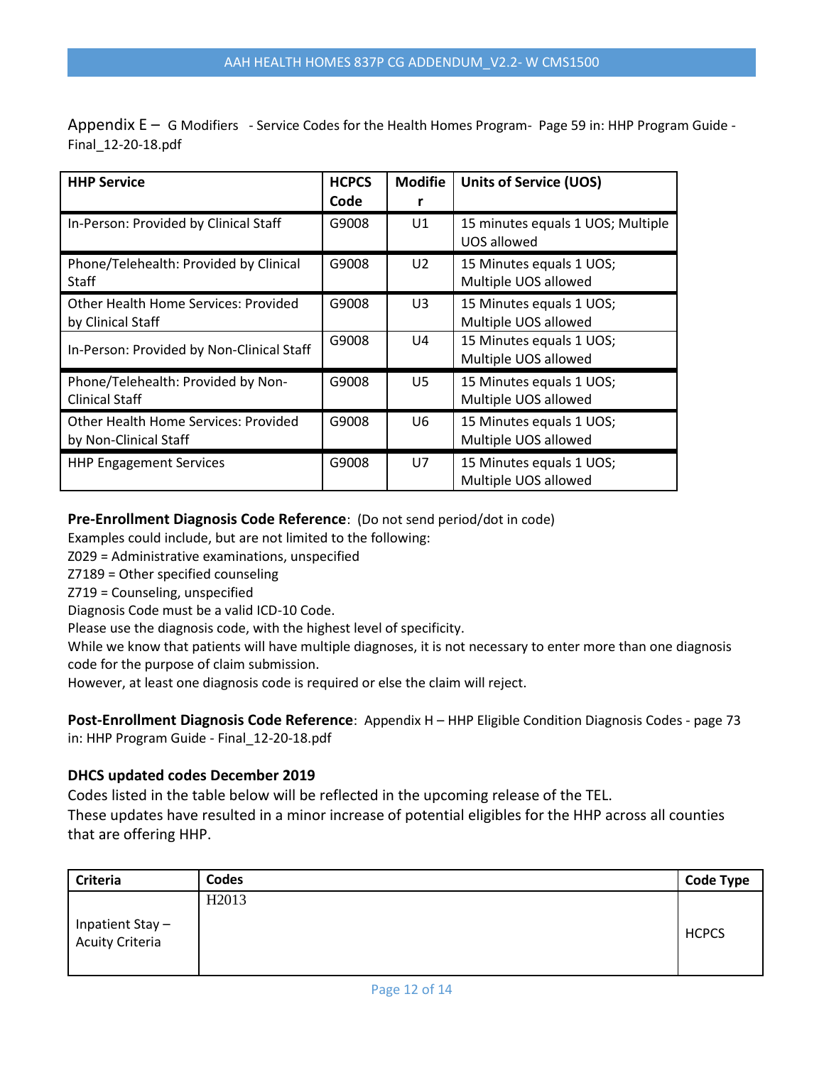Appendix E – G Modifiers - Service Codes for the Health Homes Program- Page 59 in: HHP Program Guide - Final\_12-20-18.pdf

| <b>HHP Service</b>                                            | <b>HCPCS</b><br>Code | <b>Modifie</b> | <b>Units of Service (UOS)</b>                    |
|---------------------------------------------------------------|----------------------|----------------|--------------------------------------------------|
| In-Person: Provided by Clinical Staff                         | G9008                | U1             | 15 minutes equals 1 UOS; Multiple<br>UOS allowed |
| Phone/Telehealth: Provided by Clinical<br>Staff               | G9008                | U <sub>2</sub> | 15 Minutes equals 1 UOS;<br>Multiple UOS allowed |
| Other Health Home Services: Provided<br>by Clinical Staff     | G9008                | U3             | 15 Minutes equals 1 UOS;<br>Multiple UOS allowed |
| In-Person: Provided by Non-Clinical Staff                     | G9008                | U4             | 15 Minutes equals 1 UOS;<br>Multiple UOS allowed |
| Phone/Telehealth: Provided by Non-<br><b>Clinical Staff</b>   | G9008                | U5             | 15 Minutes equals 1 UOS;<br>Multiple UOS allowed |
| Other Health Home Services: Provided<br>by Non-Clinical Staff | G9008                | U6             | 15 Minutes equals 1 UOS;<br>Multiple UOS allowed |
| <b>HHP Engagement Services</b>                                | G9008                | U7             | 15 Minutes equals 1 UOS;<br>Multiple UOS allowed |

### **Pre-Enrollment Diagnosis Code Reference**: (Do not send period/dot in code)

Examples could include, but are not limited to the following:

Z029 = Administrative examinations, unspecified

Z7189 = Other specified counseling

Z719 = Counseling, unspecified

Diagnosis Code must be a valid ICD-10 Code.

Please use the diagnosis code, with the highest level of specificity.

While we know that patients will have multiple diagnoses, it is not necessary to enter more than one diagnosis code for the purpose of claim submission.

However, at least one diagnosis code is required or else the claim will reject.

**Post-Enrollment Diagnosis Code Reference**: Appendix H – HHP Eligible Condition Diagnosis Codes - page 73 in: HHP Program Guide - Final\_12-20-18.pdf

### **DHCS updated codes December 2019**

Codes listed in the table below will be reflected in the upcoming release of the TEL. These updates have resulted in a minor increase of potential eligibles for the HHP across all counties that are offering HHP.

| <b>Criteria</b>                    | Codes             | <b>Code Type</b> |
|------------------------------------|-------------------|------------------|
|                                    | H <sub>2013</sub> |                  |
| Inpatient Stay-<br>Acuity Criteria |                   | <b>HCPCS</b>     |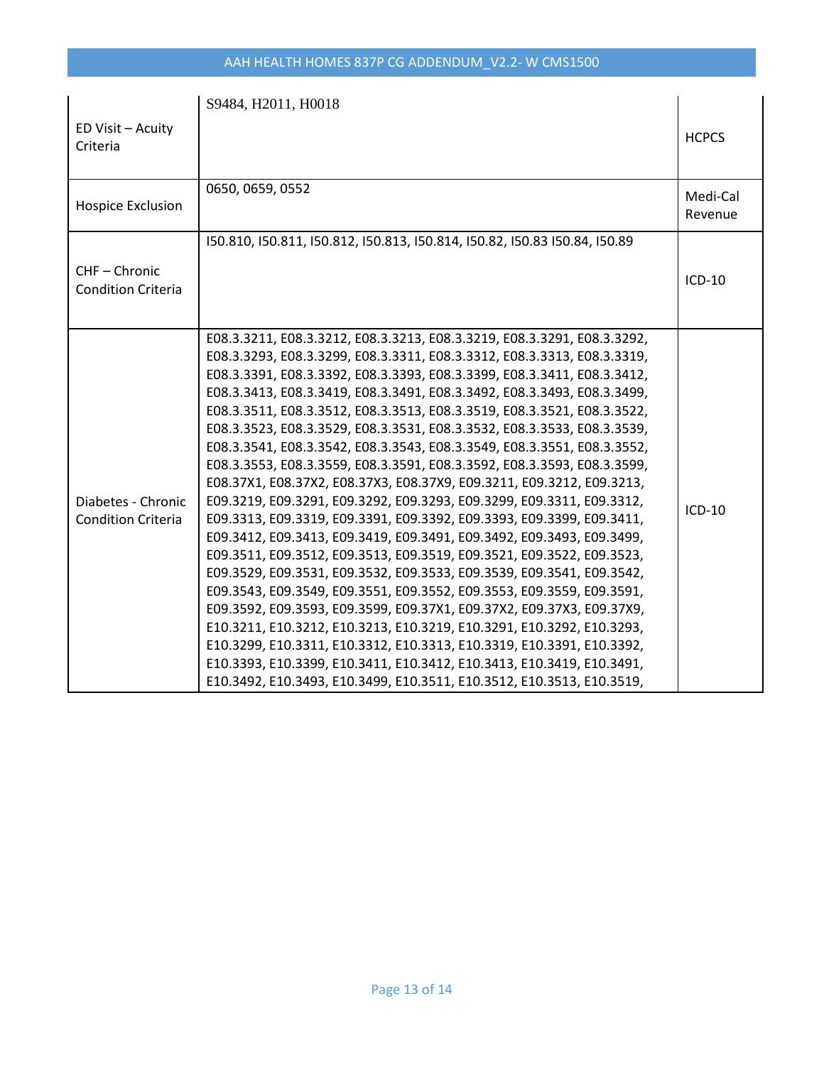# AAH HEALTH HOMES 837P CG ADDENDUM\_V2.2- W CMS1500

| ED Visit - Acuity<br>Criteria                   | S9484, H2011, H0018                                                                                                                                                                                                                                                                                                                                                                                                                                                                                                                                                                                                                                                                                                                                                                                                                                                                                                                                                                                                                                                                                                                                                                                                                                                                                                                                                                                                                                                                                                              | <b>HCPCS</b>        |
|-------------------------------------------------|----------------------------------------------------------------------------------------------------------------------------------------------------------------------------------------------------------------------------------------------------------------------------------------------------------------------------------------------------------------------------------------------------------------------------------------------------------------------------------------------------------------------------------------------------------------------------------------------------------------------------------------------------------------------------------------------------------------------------------------------------------------------------------------------------------------------------------------------------------------------------------------------------------------------------------------------------------------------------------------------------------------------------------------------------------------------------------------------------------------------------------------------------------------------------------------------------------------------------------------------------------------------------------------------------------------------------------------------------------------------------------------------------------------------------------------------------------------------------------------------------------------------------------|---------------------|
| <b>Hospice Exclusion</b>                        | 0650, 0659, 0552                                                                                                                                                                                                                                                                                                                                                                                                                                                                                                                                                                                                                                                                                                                                                                                                                                                                                                                                                                                                                                                                                                                                                                                                                                                                                                                                                                                                                                                                                                                 | Medi-Cal<br>Revenue |
| CHF-Chronic<br><b>Condition Criteria</b>        | 150.810, 150.811, 150.812, 150.813, 150.814, 150.82, 150.83 150.84, 150.89                                                                                                                                                                                                                                                                                                                                                                                                                                                                                                                                                                                                                                                                                                                                                                                                                                                                                                                                                                                                                                                                                                                                                                                                                                                                                                                                                                                                                                                       | $ICD-10$            |
| Diabetes - Chronic<br><b>Condition Criteria</b> | E08.3.3211, E08.3.3212, E08.3.3213, E08.3.3219, E08.3.3291, E08.3.3292,<br>E08.3.3293, E08.3.3299, E08.3.3311, E08.3.3312, E08.3.3313, E08.3.3319,<br>E08.3.3391, E08.3.3392, E08.3.3393, E08.3.3399, E08.3.3411, E08.3.3412,<br>E08.3.3413, E08.3.3419, E08.3.3491, E08.3.3492, E08.3.3493, E08.3.3499,<br>E08.3.3511, E08.3.3512, E08.3.3513, E08.3.3519, E08.3.3521, E08.3.3522,<br>E08.3.3523, E08.3.3529, E08.3.3531, E08.3.3532, E08.3.3533, E08.3.3539,<br>E08.3.3541, E08.3.3542, E08.3.3543, E08.3.3549, E08.3.3551, E08.3.3552,<br>E08.3.3553, E08.3.3559, E08.3.3591, E08.3.3592, E08.3.3593, E08.3.3599,<br>E08.37X1, E08.37X2, E08.37X3, E08.37X9, E09.3211, E09.3212, E09.3213,<br>E09.3219, E09.3291, E09.3292, E09.3293, E09.3299, E09.3311, E09.3312,<br>E09.3313, E09.3319, E09.3391, E09.3392, E09.3393, E09.3399, E09.3411,<br>E09.3412, E09.3413, E09.3419, E09.3491, E09.3492, E09.3493, E09.3499,<br>E09.3511, E09.3512, E09.3513, E09.3519, E09.3521, E09.3522, E09.3523,<br>E09.3529, E09.3531, E09.3532, E09.3533, E09.3539, E09.3541, E09.3542,<br>E09.3543, E09.3549, E09.3551, E09.3552, E09.3553, E09.3559, E09.3591,<br>E09.3592, E09.3593, E09.3599, E09.37X1, E09.37X2, E09.37X3, E09.37X9,<br>E10.3211, E10.3212, E10.3213, E10.3219, E10.3291, E10.3292, E10.3293,<br>E10.3299, E10.3311, E10.3312, E10.3313, E10.3319, E10.3391, E10.3392,<br>E10.3393, E10.3399, E10.3411, E10.3412, E10.3413, E10.3419, E10.3491,<br>E10.3492, E10.3493, E10.3499, E10.3511, E10.3512, E10.3513, E10.3519, | $ICD-10$            |